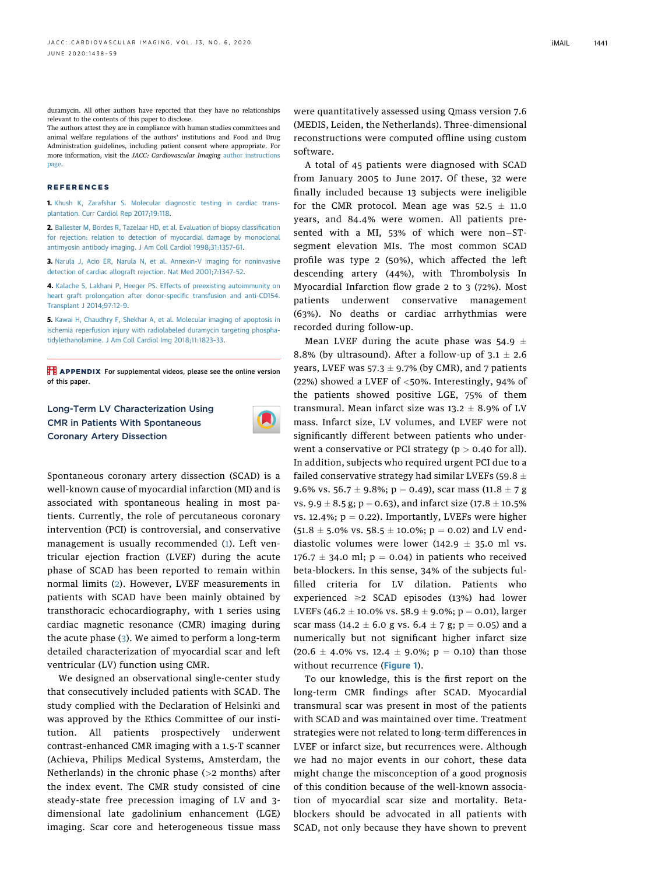duramycin. All other authors have reported that they have no relationships relevant to the contents of this paper to disclose.

The authors attest they are in compliance with human studies committees and animal welfare regulations of the authors' institutions and Food and Drug Administration guidelines, including patient consent where appropriate. For more information, visit the JACC: Cardiovascular Imaging [author instructions](https://imaging.onlinejacc.org/content/instructions-authors) [page](https://imaging.onlinejacc.org/content/instructions-authors).

## REFERENCES

1. [Khush K, Zarafshar S. Molecular diagnostic testing in cardiac trans](http://refhub.elsevier.com/S1936-878X(20)30080-2/sref1)[plantation. Curr Cardiol Rep 2017;19:118.](http://refhub.elsevier.com/S1936-878X(20)30080-2/sref1)

2. [Ballester M, Bordes R, Tazelaar HD, et al. Evaluation of biopsy classi](http://refhub.elsevier.com/S1936-878X(20)30080-2/sref2)fication [for rejection: relation to detection of myocardial damage by monoclonal](http://refhub.elsevier.com/S1936-878X(20)30080-2/sref2) [antimyosin antibody imaging. J Am Coll Cardiol 1998;31:1357](http://refhub.elsevier.com/S1936-878X(20)30080-2/sref2)–61.

3. [Narula J, Acio ER, Narula N, et al. Annexin-V imaging for noninvasive](http://refhub.elsevier.com/S1936-878X(20)30080-2/sref3) [detection of cardiac allograft rejection. Nat Med 2001;7:1347](http://refhub.elsevier.com/S1936-878X(20)30080-2/sref3)–52.

4. [Kalache S, Lakhani P, Heeger PS. Effects of preexisting autoimmunity on](http://refhub.elsevier.com/S1936-878X(20)30080-2/sref4) [heart graft prolongation after donor-speci](http://refhub.elsevier.com/S1936-878X(20)30080-2/sref4)fic transfusion and anti-CD154. [Transplant J 2014;97:12](http://refhub.elsevier.com/S1936-878X(20)30080-2/sref4)–9.

5. [Kawai H, Chaudhry F, Shekhar A, et al. Molecular imaging of apoptosis in](http://refhub.elsevier.com/S1936-878X(20)30080-2/sref5) [ischemia reperfusion injury with radiolabeled duramycin targeting phospha](http://refhub.elsevier.com/S1936-878X(20)30080-2/sref5)[tidylethanolamine. J Am Coll Cardiol Img 2018;11:1823](http://refhub.elsevier.com/S1936-878X(20)30080-2/sref5)–33.

**TE APPENDIX** For supplemental videos, please see the online version of this paper.

## Long-Term LV Characterization Using CMR in Patients With Spontaneous Coronary Artery Dissection



Spontaneous coronary artery dissection (SCAD) is a well-known cause of myocardial infarction (MI) and is associated with spontaneous healing in most patients. Currently, the role of percutaneous coronary intervention (PCI) is controversial, and conservative management is usually recommended (1). Left ventricular ejection fraction (LVEF) during the acute phase of SCAD has been reported to remain within normal limits (2). However, LVEF measurements in patients with SCAD have been mainly obtained by transthoracic echocardiography, with 1 series using cardiac magnetic resonance (CMR) imaging during the acute phase (3). We aimed to perform a long-term detailed characterization of myocardial scar and left ventricular (LV) function using CMR.

We designed an observational single-center study that consecutively included patients with SCAD. The study complied with the Declaration of Helsinki and was approved by the Ethics Committee of our institution. All patients prospectively underwent contrast-enhanced CMR imaging with a 1.5-T scanner (Achieva, Philips Medical Systems, Amsterdam, the Netherlands) in the chronic phase (>2 months) after the index event. The CMR study consisted of cine steady-state free precession imaging of LV and 3 dimensional late gadolinium enhancement (LGE) imaging. Scar core and heterogeneous tissue mass were quantitatively assessed using Qmass version 7.6 (MEDIS, Leiden, the Netherlands). Three-dimensional reconstructions were computed offline using custom software.

A total of 45 patients were diagnosed with SCAD from January 2005 to June 2017. Of these, 32 were finally included because 13 subjects were ineligible for the CMR protocol. Mean age was  $52.5 \pm 11.0$ years, and 84.4% were women. All patients presented with a MI, 53% of which were non-STsegment elevation MIs. The most common SCAD profile was type 2 (50%), which affected the left descending artery (44%), with Thrombolysis In Myocardial Infarction flow grade 2 to 3 (72%). Most patients underwent conservative management (63%). No deaths or cardiac arrhythmias were recorded during follow-up.

Mean LVEF during the acute phase was  $54.9 \pm$ 8.8% (by ultrasound). After a follow-up of  $3.1 \pm 2.6$ years, LVEF was  $57.3 \pm 9.7\%$  (by CMR), and 7 patients (22%) showed a LVEF of  $<$ 50%. Interestingly, 94% of the patients showed positive LGE, 75% of them transmural. Mean infarct size was  $13.2 \pm 8.9\%$  of LV mass. Infarct size, LV volumes, and LVEF were not significantly different between patients who underwent a conservative or PCI strategy ( $p > 0.40$  for all). In addition, subjects who required urgent PCI due to a failed conservative strategy had similar LVEFs (59.8  $\pm$ 9.6% vs. 56.7  $\pm$  9.8%; p = 0.49), scar mass (11.8  $\pm$  7 g vs.  $9.9 \pm 8.5$  g; p = 0.63), and infarct size (17.8  $\pm$  10.5% vs. 12.4%;  $p = 0.22$ ). Importantly, LVEFs were higher  $(51.8 \pm 5.0\% \text{ vs. } 58.5 \pm 10.0\%; \text{ p} = 0.02)$  and LV enddiastolic volumes were lower (142.9  $\pm$  35.0 ml vs. 176.7  $\pm$  34.0 ml; p = 0.04) in patients who received beta-blockers. In this sense, 34% of the subjects fulfilled criteria for LV dilation. Patients who experienced  $\geq$ 2 SCAD episodes (13%) had lower LVEFs (46.2  $\pm$  10.0% vs. 58.9  $\pm$  9.0%; p = 0.01), larger scar mass (14.2  $\pm$  6.0 g vs. 6.4  $\pm$  7 g; p = 0.05) and a numerically but not significant higher infarct size  $(20.6 \pm 4.0\% \text{ vs. } 12.4 \pm 9.0\%; \text{ p} = 0.10)$  than those without recurrence (Figure 1).

To our knowledge, this is the first report on the long-term CMR findings after SCAD. Myocardial transmural scar was present in most of the patients with SCAD and was maintained over time. Treatment strategies were not related to long-term differences in LVEF or infarct size, but recurrences were. Although we had no major events in our cohort, these data might change the misconception of a good prognosis of this condition because of the well-known association of myocardial scar size and mortality. Betablockers should be advocated in all patients with SCAD, not only because they have shown to prevent